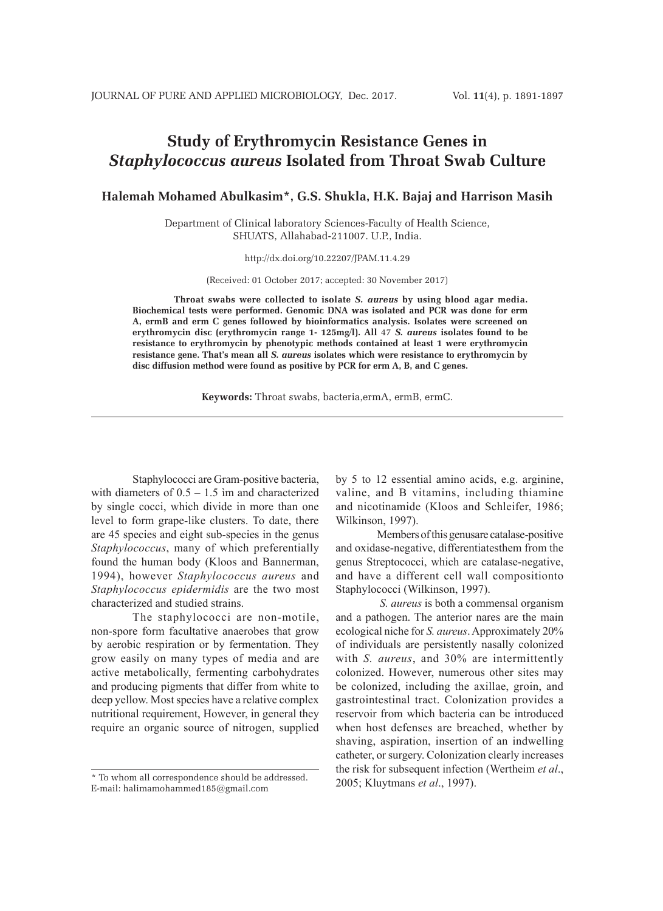# **Study of Erythromycin Resistance Genes in** *Staphylococcus aureus* **Isolated from Throat Swab Culture**

**Halemah Mohamed Abulkasim\*, G.S. Shukla, H.K. Bajaj and Harrison Masih**

Department of Clinical laboratory Sciences-Faculty of Health Science, SHUATS, Allahabad-211007. U.P., India.

http://dx.doi.org/10.22207/JPAM.11.4.29

(Received: 01 October 2017; accepted: 30 November 2017)

**Throat swabs were collected to isolate** *S. aureus* **by using blood agar media. Biochemical tests were performed. Genomic DNA was isolated and PCR was done for erm A, ermB and erm C genes followed by bioinformatics analysis. Isolates were screened on erythromycin disc (erythromycin range 1- 125mg/l). All** 47 *S. aureus* **isolates found to be resistance to erythromycin by phenotypic methods contained at least 1 were erythromycin resistance gene. That's mean all** *S. aureus* **isolates which were resistance to erythromycin by disc diffusion method were found as positive by PCR for erm A, B, and C genes.**

**Keywords:** Throat swabs, bacteria,ermA, ermB, ermC.

Staphylococci are Gram-positive bacteria, with diameters of  $0.5 - 1.5$  im and characterized by single cocci, which divide in more than one level to form grape-like clusters. To date, there are 45 species and eight sub-species in the genus *Staphylococcus*, many of which preferentially found the human body (Kloos and Bannerman, 1994), however *Staphylococcus aureus* and *Staphylococcus epidermidis* are the two most characterized and studied strains.

The staphylococci are non-motile, non-spore form facultative anaerobes that grow by aerobic respiration or by fermentation. They grow easily on many types of media and are active metabolically, fermenting carbohydrates and producing pigments that differ from white to deep yellow. Most species have a relative complex nutritional requirement, However, in general they require an organic source of nitrogen, supplied

by 5 to 12 essential amino acids, e.g. arginine, valine, and B vitamins, including thiamine and nicotinamide (Kloos and Schleifer, 1986; Wilkinson, 1997).

Members of this genusare catalase-positive and oxidase-negative, differentiatesthem from the genus Streptococci, which are catalase-negative, and have a different cell wall compositionto Staphylococci (Wilkinson, 1997).

 *S. aureus* is both a commensal organism and a pathogen. The anterior nares are the main ecological niche for *S. aureus*. Approximately 20% of individuals are persistently nasally colonized with *S. aureus*, and 30% are intermittently colonized. However, numerous other sites may be colonized, including the axillae, groin, and gastrointestinal tract. Colonization provides a reservoir from which bacteria can be introduced when host defenses are breached, whether by shaving, aspiration, insertion of an indwelling catheter, or surgery. Colonization clearly increases the risk for subsequent infection (Wertheim *et al*., 2005; Kluytmans *et al*., 1997).

<sup>\*</sup> To whom all correspondence should be addressed. E-mail: halimamohammed185@gmail.com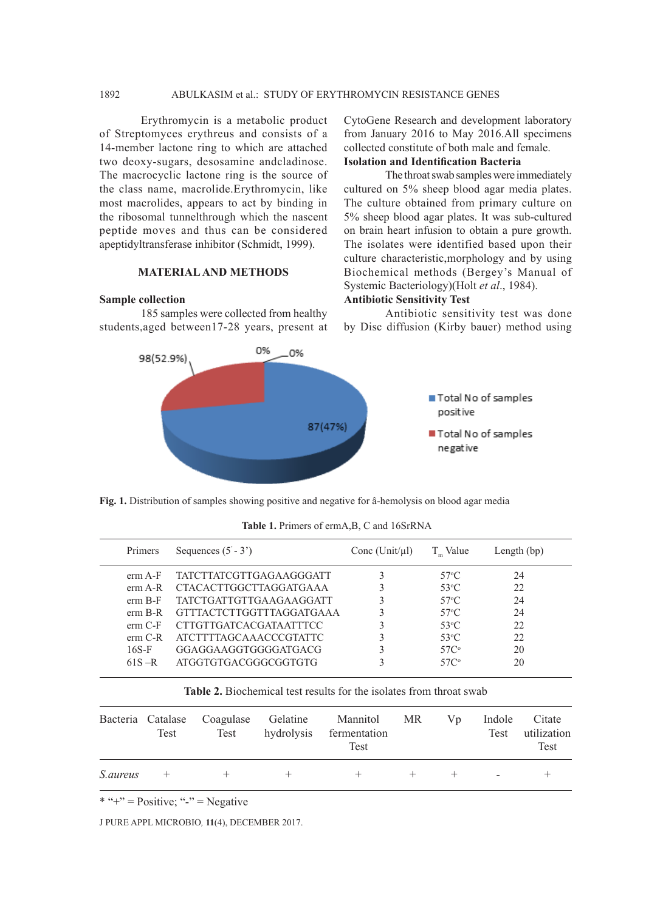Erythromycin is a metabolic product of Streptomyces erythreus and consists of a 14-member lactone ring to which are attached two deoxy-sugars, desosamine andcladinose. The macrocyclic lactone ring is the source of the class name, macrolide.Erythromycin, like most macrolides, appears to act by binding in the ribosomal tunnelthrough which the nascent peptide moves and thus can be considered apeptidyltransferase inhibitor (Schmidt, 1999).

## **MATERIAL AND METHODS**

#### **Sample collection**

185 samples were collected from healthy students,aged between17-28 years, present at CytoGene Research and development laboratory from January 2016 to May 2016.All specimens collected constitute of both male and female. **Isolation and Identification Bacteria**

The throat swab samples were immediately cultured on 5% sheep blood agar media plates. The culture obtained from primary culture on 5% sheep blood agar plates. It was sub-cultured on brain heart infusion to obtain a pure growth. The isolates were identified based upon their culture characteristic,morphology and by using Biochemical methods (Bergey's Manual of Systemic Bacteriology)(Holt *et al*., 1984).

## **Antibiotic Sensitivity Test**

Antibiotic sensitivity test was done by Disc diffusion (Kirby bauer) method using



**Fig. 1.** Distribution of samples showing positive and negative for â-hemolysis on blood agar media

|  |  |  |  |  |  |  | <b>Table 1.</b> Primers of ermA,B, C and 16SrRNA |
|--|--|--|--|--|--|--|--------------------------------------------------|
|--|--|--|--|--|--|--|--------------------------------------------------|

| Primers   | Sequences $(5' - 3')$           | Conc (Unit/ $\mu$ l) | T Value          | Length $(bp)$ |  |
|-----------|---------------------------------|----------------------|------------------|---------------|--|
| erm A-F   | <b>TATCTTATCGTTGAGAAGGGATT</b>  |                      | $57^{\circ}$ C   | 24            |  |
| erm A-R   | <b>CTACACTTGGCTTAGGATGAAA</b>   |                      | $53^{\circ}$ C   | 22.           |  |
| $erm B-F$ | TATCTGATTGTTGAAGAAGGATT         |                      | $57^{\circ}$ C   | 24            |  |
| erm B-R   | <b>GTTTACTCTTGGTTTAGGATGAAA</b> |                      | $57^{\circ}$ C   | 24            |  |
| $erm C-F$ | CTTGTTGATCACGATA ATTTCC         |                      | $53^{\circ}$ C   | 22            |  |
| $erm C-R$ | <b>ATCTTTTAGCAAACCCGTATTC</b>   |                      | $53^{\circ}$ C   | 22            |  |
| $16S-F$   | GGAGGAAGGTGGGGATGACG            |                      | 57C <sup>o</sup> | 20            |  |
| $61S - R$ | ATGGTGTGACGGGCGGTGTG            |                      | 57C <sup>o</sup> | 20            |  |
|           |                                 |                      |                  |               |  |

| <b>Table 2.</b> Biochemical test results for the isolates from throat swab |  |  |
|----------------------------------------------------------------------------|--|--|
|----------------------------------------------------------------------------|--|--|

|                 | Test | Bacteria Catalase Coagulase Gelatine<br>Test | hydrolysis | Mannitol MR<br>fermentation<br>Test | Vp | Indole<br>Test | Citate<br>utilization<br><b>Test</b> |
|-----------------|------|----------------------------------------------|------------|-------------------------------------|----|----------------|--------------------------------------|
| <i>S.aureus</i> | $^+$ |                                              |            |                                     |    |                |                                      |

 $* "+'" = Positive; "-'" = Negative$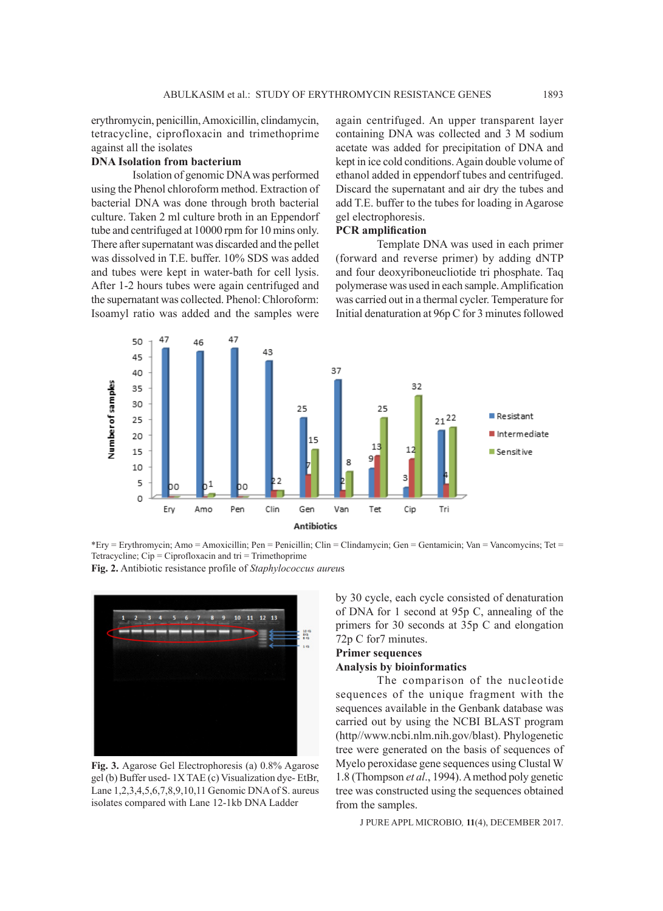erythromycin, penicillin, Amoxicillin, clindamycin, tetracycline, ciprofloxacin and trimethoprime against all the isolates

#### **DNA Isolation from bacterium**

Isolation of genomic DNA was performed using the Phenol chloroform method. Extraction of bacterial DNA was done through broth bacterial culture. Taken 2 ml culture broth in an Eppendorf tube and centrifuged at 10000 rpm for 10 mins only. There after supernatant was discarded and the pellet was dissolved in T.E. buffer. 10% SDS was added and tubes were kept in water-bath for cell lysis. After 1-2 hours tubes were again centrifuged and the supernatant was collected. Phenol: Chloroform: Isoamyl ratio was added and the samples were

again centrifuged. An upper transparent layer containing DNA was collected and 3 M sodium acetate was added for precipitation of DNA and kept in ice cold conditions. Again double volume of ethanol added in eppendorf tubes and centrifuged. Discard the supernatant and air dry the tubes and add T.E. buffer to the tubes for loading in Agarose gel electrophoresis.

## **PCR amplification**

Template DNA was used in each primer (forward and reverse primer) by adding dNTP and four deoxyriboneucliotide tri phosphate. Taq polymerase was used in each sample. Amplification was carried out in a thermal cycler. Temperature for Initial denaturation at 96p C for 3 minutes followed



\*Ery = Erythromycin; Amo = Amoxicillin; Pen = Penicillin; Clin = Clindamycin; Gen = Gentamicin; Van = Vancomycins; Tet = Tetracycline; Cip = Ciprofloxacin and tri = Trimethoprime

**Fig. 2.** Antibiotic resistance profile of *Staphylococcus aureu*s



**Fig. 3.** Agarose Gel Electrophoresis (a) 0.8% Agarose gel (b) Buffer used- 1X TAE (c) Visualization dye- EtBr, Lane 1,2,3,4,5,6,7,8,9,10,11 Genomic DNA of S. aureus isolates compared with Lane 12-1kb DNA Ladder

by 30 cycle, each cycle consisted of denaturation of DNA for 1 second at 95p C, annealing of the primers for 30 seconds at 35p C and elongation 72p C for7 minutes.

## **Primer sequences Analysis by bioinformatics**

The comparison of the nucleotide sequences of the unique fragment with the sequences available in the Genbank database was carried out by using the NCBI BLAST program (http//www.ncbi.nlm.nih.gov/blast). Phylogenetic tree were generated on the basis of sequences of Myelo peroxidase gene sequences using Clustal W 1.8 (Thompson *et al*., 1994). A method poly genetic tree was constructed using the sequences obtained from the samples.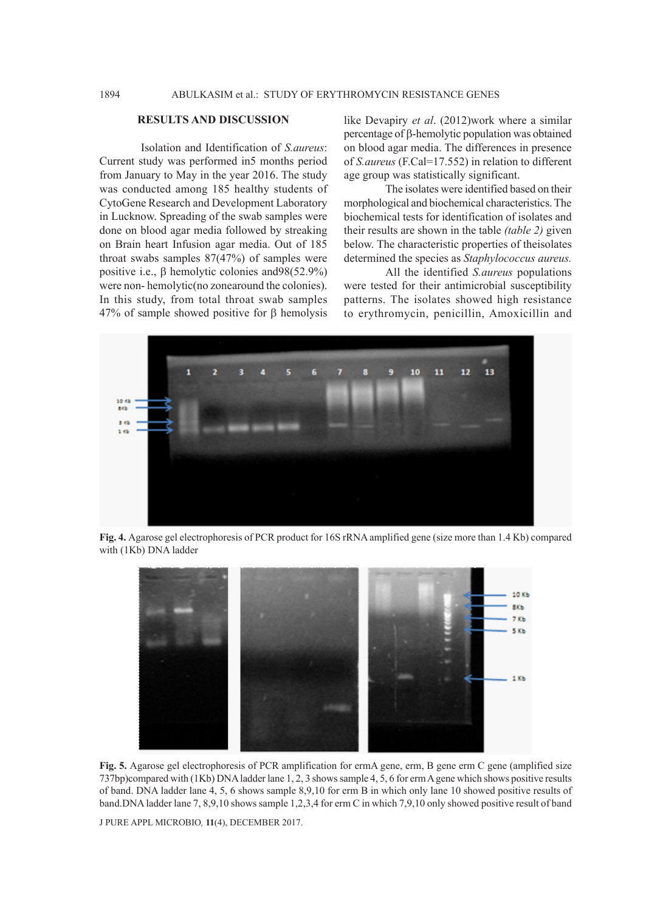## **RESULTS AND DISCUSSION**

Isolation and Identification of *S.aureus*: Current study was performed in5 months period from January to May in the year 2016. The study was conducted among 185 healthy students of CytoGene Research and Development Laboratory in Lucknow. Spreading of the swab samples were done on blood agar media followed by streaking on Brain heart Infusion agar media. Out of 185 throat swabs samples 87(47%) of samples were positive i.e.,  $\beta$  hemolytic colonies and 98(52.9%) were non- hemolytic(no zonearound the colonies). In this study, from total throat swab samples  $47%$  of sample showed positive for  $\beta$  hemolysis

like Devapiry *et al*. (2012)work where a similar percentage of  $\beta$ -hemolytic population was obtained on blood agar media. The differences in presence of *S.aureus* (F.Cal=17.552) in relation to different age group was statistically significant.

The isolates were identified based on their morphological and biochemical characteristics. The biochemical tests for identification of isolates and their results are shown in the table *(table 2)* given below. The characteristic properties of theisolates determined the species as *Staphylococcus aureus.*

All the identified *S.aureus* populations were tested for their antimicrobial susceptibility patterns. The isolates showed high resistance to erythromycin, penicillin, Amoxicillin and



**Fig. 4.** Agarose gel electrophoresis of PCR product for 16S rRNA amplified gene (size more than 1.4 Kb) compared with (1Kb) DNA ladder



**Fig. 5.** Agarose gel electrophoresis of PCR amplification for ermA gene, erm, B gene erm C gene (amplified size 737bp)compared with (1Kb) DNA ladder lane 1, 2, 3 shows sample 4, 5, 6 for erm A gene which shows positive results of band. DNA ladder lane 4, 5, 6 shows sample 8,9,10 for erm B in which only lane 10 showed positive results of band.DNA ladder lane 7, 8,9,10 shows sample 1,2,3,4 for erm C in which 7,9,10 only showed positive result of band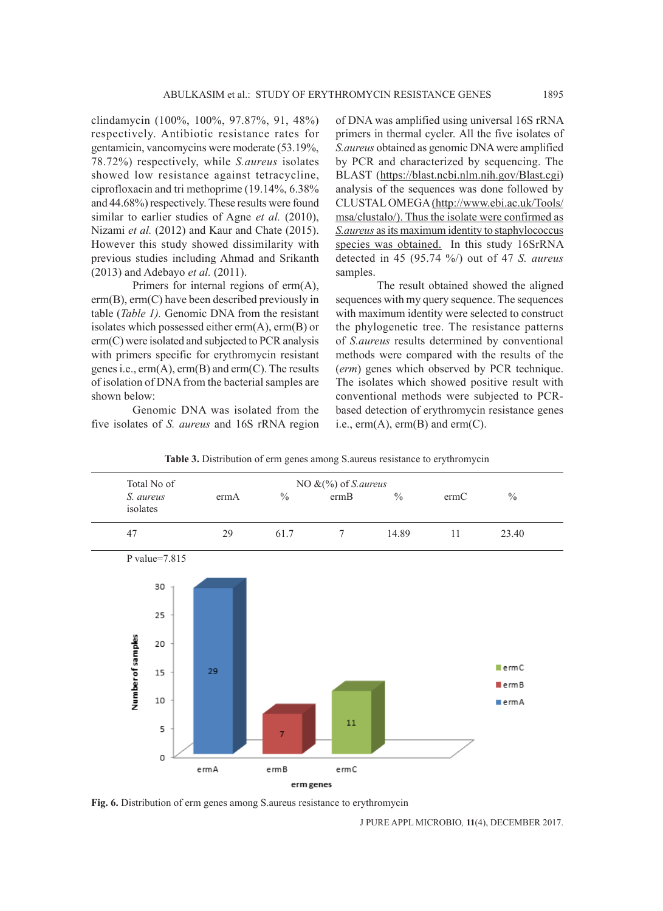clindamycin (100%, 100%, 97.87%, 91, 48%) respectively. Antibiotic resistance rates for gentamicin, vancomycins were moderate (53.19%, 78.72%) respectively, while *S.aureus* isolates showed low resistance against tetracycline, ciprofloxacin and tri methoprime (19.14%, 6.38% and 44.68%) respectively. These results were found similar to earlier studies of Agne *et al.* (2010), Nizami *et al.* (2012) and Kaur and Chate (2015). However this study showed dissimilarity with previous studies including Ahmad and Srikanth (2013) and Adebayo *et al.* (2011).

Primers for internal regions of erm(A), erm(B), erm(C) have been described previously in table (*Table 1).* Genomic DNA from the resistant isolates which possessed either erm(A), erm(B) or erm(C) were isolated and subjected to PCR analysis with primers specific for erythromycin resistant genes i.e., erm(A), erm(B) and erm(C). The results of isolation of DNA from the bacterial samples are shown below:

Genomic DNA was isolated from the five isolates of *S. aureus* and 16S rRNA region of DNA was amplified using universal 16S rRNA primers in thermal cycler. All the five isolates of *S.aureus* obtained as genomic DNA were amplified by PCR and characterized by sequencing. The BLAST (https://blast.ncbi.nlm.nih.gov/Blast.cgi) analysis of the sequences was done followed by CLUSTAL OMEGA (http://www.ebi.ac.uk/Tools/ msa/clustalo/). Thus the isolate were confirmed as *S.aureus* as its maximum identity to staphylococcus species was obtained. In this study 16SrRNA detected in 45 (95.74 %/) out of 47 *S. aureus* samples.

The result obtained showed the aligned sequences with my query sequence. The sequences with maximum identity were selected to construct the phylogenetic tree. The resistance patterns of *S.aureus* results determined by conventional methods were compared with the results of the (*erm*) genes which observed by PCR technique. The isolates which showed positive result with conventional methods were subjected to PCRbased detection of erythromycin resistance genes i.e.,  $erm(A)$ ,  $erm(B)$  and  $erm(C)$ .



**Table 3.** Distribution of erm genes among S.aureus resistance to erythromycin

**Fig. 6.** Distribution of erm genes among S.aureus resistance to erythromycin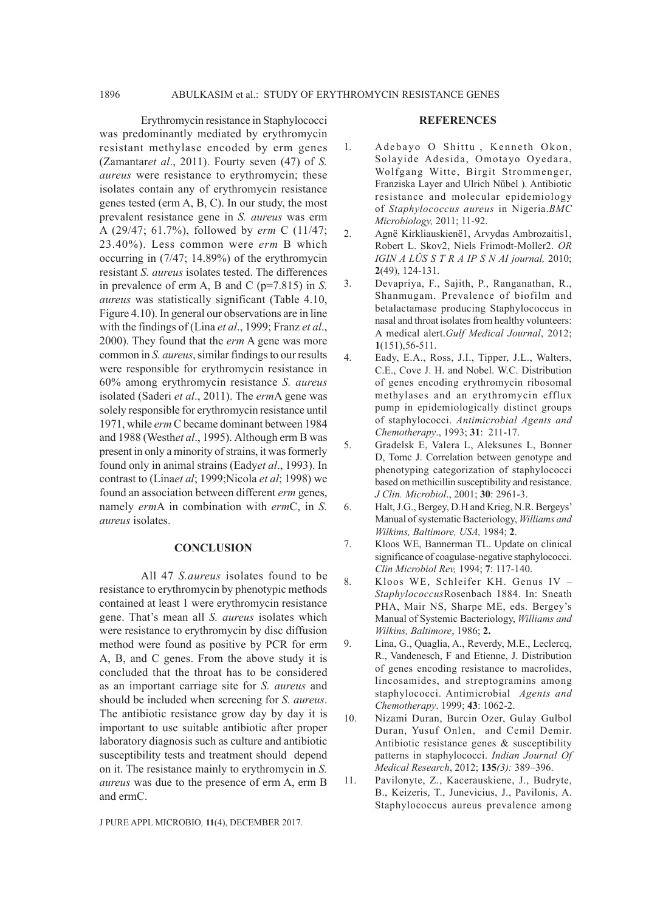Erythromycin resistance in Staphylococci was predominantly mediated by erythromycin resistant methylase encoded by erm genes (Zamantar*et al*., 2011). Fourty seven (47) of *S. aureus* were resistance to erythromycin; these isolates contain any of erythromycin resistance genes tested (erm A, B, C). In our study, the most prevalent resistance gene in *S. aureus* was erm A (29/47; 61.7%), followed by *erm* C (11/47; 23.40%). Less common were *erm* B which occurring in (7/47; 14.89%) of the erythromycin resistant *S. aureus* isolates tested. The differences in prevalence of erm A, B and C (p=7.815) in *S. aureus* was statistically significant (Table 4.10, Figure 4.10). In general our observations are in line with the findings of (Lina *et al*., 1999; Franz *et al*., 2000). They found that the *erm* A gene was more common in *S. aureus*, similar findings to our results were responsible for erythromycin resistance in 60% among erythromycin resistance *S. aureus*  isolated (Saderi *et al*., 2011). The *erm*A gene was solely responsible for erythromycin resistance until 1971, while *erm* C became dominant between 1984 and 1988 (Westh*et al*., 1995). Although erm B was present in only a minority of strains, it was formerly found only in animal strains (Eady*et al*., 1993). In contrast to (Lina*et al*; 1999;Nicola *et al*; 1998) we found an association between different *erm* genes, namely *erm*A in combination with *erm*C, in *S. aureus* isolates.

## **CONCLUSION**

All 47 *S.aureus* isolates found to be resistance to erythromycin by phenotypic methods contained at least 1 were erythromycin resistance gene. That's mean all *S. aureus* isolates which were resistance to erythromycin by disc diffusion method were found as positive by PCR for erm A, B, and C genes. From the above study it is concluded that the throat has to be considered as an important carriage site for *S. aureus* and should be included when screening for *S. aureus*. The antibiotic resistance grow day by day it is important to use suitable antibiotic after proper laboratory diagnosis such as culture and antibiotic susceptibility tests and treatment should depend on it. The resistance mainly to erythromycin in *S. aureus* was due to the presence of erm A, erm B and ermC.

J PURE APPL MICROBIO*,* **11**(4), DECEMBER 2017.

#### **REFERENCES**

- 1. A debayo O Shittu, Kenneth Okon, Solayide Adesida, Omotayo Oyedara, Wolfgang Witte, Birgit Strommenger, Franziska Layer and Ulrich Nübel ). Antibiotic resistance and molecular epidemiology of *Staphylococcus aureus* in Nigeria.*BMC Microbiology,* 2011; 11-92.
- 2. Agnë Kirkliauskienë1, Arvydas Ambrozaitis1, Robert L. Skov2, Niels Frimodt-Moller2. *OR IGIN A LÛS S T R A IP S N AI journal,* 2010; **2**(49), 124-131.
- 3. Devapriya, F., Sajith, P., Ranganathan, R., Shanmugam. Prevalence of biofilm and betalactamase producing Staphylococcus in nasal and throat isolates from healthy volunteers: A medical alert.*Gulf Medical Journal*, 2012; **1**(151),56-511.
- 4. Eady, E.A., Ross, J.I., Tipper, J.L., Walters, C.E., Cove J. H. and Nobel. W.C. Distribution of genes encoding erythromycin ribosomal methylases and an erythromycin efflux pump in epidemiologically distinct groups of staphylococci. *Antimicrobial Agents and Chemotherapy*., 1993; **31**: 211-17.
- 5. Gradelsk E, Valera L, Aleksunes L, Bonner D, Tomc J. Correlation between genotype and phenotyping categorization of staphylococci based on methicillin susceptibility and resistance. *J Clin. Microbiol*., 2001; **30**: 2961-3.
- 6. Halt, J.G., Bergey, D.H and Krieg, N.R. Bergeys' Manual of systematic Bacteriology, *Williams and Wilkims, Baltimore, USA,* 1984; **2**.
- 7. Kloos WE, Bannerman TL. Update on clinical significance of coagulase-negative staphylococci. *Clin Microbiol Rev,* 1994; **7**: 117-140.
- 8. Kloos WE, Schleifer KH. Genus IV *Staphylococcus*Rosenbach 1884. In: Sneath PHA, Mair NS, Sharpe ME, eds. Bergey's Manual of Systemic Bacteriology, *Williams and Wilkins, Baltimore*, 1986; **2.**
- 9. Lina, G., Quaglia, A., Reverdy, M.E., Leclercq, R., Vandenesch, F and Etienne, J. Distribution of genes encoding resistance to macrolides, lincosamides, and streptogramins among staphylococci. Antimicrobial *Agents and Chemotherapy*. 1999; **43**: 1062-2.
- 10. Nizami Duran, Burcin Ozer, Gulay Gulbol Duran, Yusuf Onlen, and Cemil Demir. Antibiotic resistance genes & susceptibility patterns in staphylococci. *Indian Journal Of Medical Research*, 2012; **135***(3):* 389–396.
- 11. Pavilonyte, Z., Kacerauskiene, J., Budryte, B., Keizeris, T., Junevicius, J., Pavilonis, A. Staphylococcus aureus prevalence among